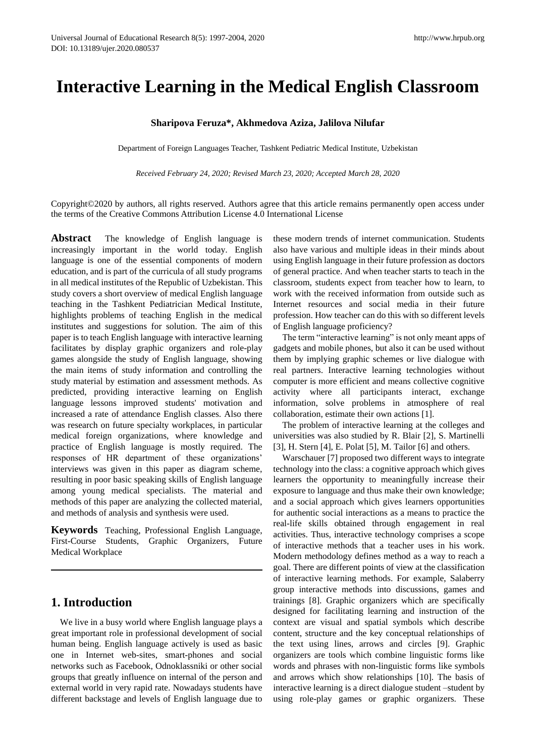# **Interactive Learning in the Medical English Classroom**

#### **Sharipova Feruza\*, Akhmedova Aziza, Jalilova Nilufar**

Department of Foreign Languages Teacher, Tashkent Pediatric Medical Institute, Uzbekistan

*Received February 24, 2020; Revised March 23, 2020; Accepted March 28, 2020*

Copyright©2020 by authors, all rights reserved. Authors agree that this article remains permanently open access under the terms of the Creative Commons Attribution License 4.0 International License

**Abstract** The knowledge of English language is increasingly important in the world today. English language is one of the essential components of modern education, and is part of the curricula of all study programs in all medical institutes of the Republic of Uzbekistan. This study covers a short overview of medical English language teaching in the Tashkent Pediatrician Medical Institute, highlights problems of teaching English in the medical institutes and suggestions for solution. The aim of this paper is to teach English language with interactive learning facilitates by display graphic organizers and role-play games alongside the study of English language, showing the main items of study information and controlling the study material by estimation and assessment methods. As predicted, providing interactive learning on English language lessons improved students' motivation and increased a rate of attendance English classes. Also there was research on future specialty workplaces, in particular medical foreign organizations, where knowledge and practice of English language is mostly required. The responses of HR department of these organizations' interviews was given in this paper as diagram scheme, resulting in poor basic speaking skills of English language among young medical specialists. The material and methods of this paper are analyzing the collected material, and methods of analysis and synthesis were used.

**Keywords** Teaching, Professional English Language, First-Course Students, Graphic Organizers, Future Medical Workplace

## **1. Introduction**

We live in a busy world where English language plays a great important role in professional development of social human being. English language actively is used as basic one in Internet web-sites, smart-phones and social networks such as Facebook, Odnoklassniki or other social groups that greatly influence on internal of the person and external world in very rapid rate. Nowadays students have different backstage and levels of English language due to

these modern trends of internet communication. Students also have various and multiple ideas in their minds about using English language in their future profession as doctors of general practice. And when teacher starts to teach in the classroom, students expect from teacher how to learn, to work with the received information from outside such as Internet resources and social media in their future profession. How teacher can do this with so different levels of English language proficiency?

The term "interactive learning" is not only meant apps of gadgets and mobile phones, but also it can be used without them by implying graphic schemes or live dialogue with real partners. Interactive learning technologies without computer is more efficient and means collective cognitive activity where all participants interact, exchange information, solve problems in atmosphere of real collaboration, estimate their own actions [1].

The problem of interactive learning at the colleges and universities was also studied by R. Blair [2], S. Martinelli [3], H. Stern [4], E. Polat [5], M. Tailor [6] and others.

Warschauer [7] proposed two different ways to integrate technology into the class: a cognitive approach which gives learners the opportunity to meaningfully increase their exposure to language and thus make their own knowledge; and a social approach which gives learners opportunities for authentic social interactions as a means to practice the real-life skills obtained through engagement in real activities. Thus, interactive technology comprises a scope of interactive methods that a teacher uses in his work. Modern methodology defines method as a way to reach a goal. There are different points of view at the classification of interactive learning methods. For example, Salaberry group interactive methods into discussions, games and trainings [8]. Graphic organizers which are specifically designed for facilitating learning and instruction of the context are visual and spatial symbols which describe content, structure and the key conceptual relationships of the text using lines, arrows and circles [9]. Graphic organizers are tools which combine linguistic forms like words and phrases with non-linguistic forms like symbols and arrows which show relationships [10]. The basis of interactive learning is a direct dialogue student –student by using role-play games or graphic organizers. These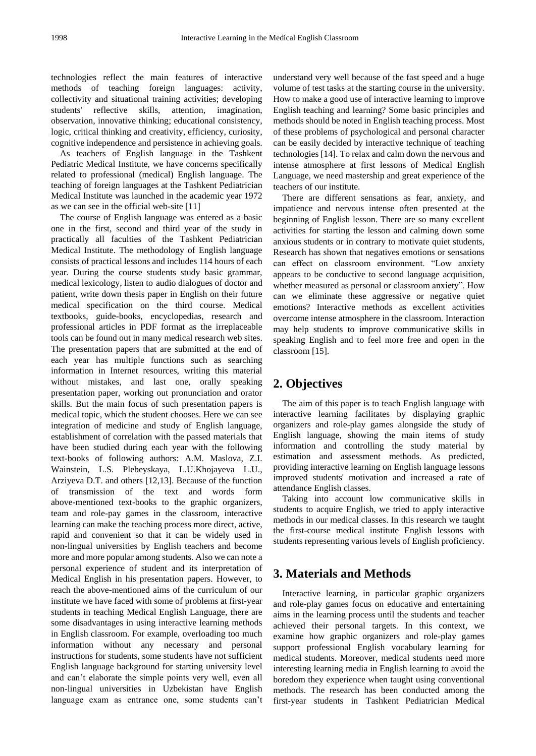technologies reflect the main features of interactive methods of teaching foreign languages: activity, collectivity and situational training activities; developing students' reflective skills, attention, imagination, observation, innovative thinking; educational consistency, logic, critical thinking and creativity, efficiency, curiosity, cognitive independence and persistence in achieving goals.

As teachers of English language in the Tashkent Pediatric Medical Institute, we have concerns specifically related to professional (medical) English language. The teaching of foreign languages at the Tashkent Pediatrician Medical Institute was launched in the academic year 1972 as we can see in the official web-site [11]

The course of English language was entered as a basic one in the first, second and third year of the study in practically all faculties of the Tashkent Pediatrician Medical Institute. The methodology of English language consists of practical lessons and includes 114 hours of each year. During the course students study basic grammar, medical lexicology, listen to audio dialogues of doctor and patient, write down thesis paper in English on their future medical specification on the third course. Medical textbooks, guide-books, encyclopedias, research and professional articles in PDF format as the irreplaceable tools can be found out in many medical research web sites. The presentation papers that are submitted at the end of each year has multiple functions such as searching information in Internet resources, writing this material without mistakes, and last one, orally speaking presentation paper, working out pronunciation and orator skills. But the main focus of such presentation papers is medical topic, which the student chooses. Here we can see integration of medicine and study of English language, establishment of correlation with the passed materials that have been studied during each year with the following text-books of following authors: A.M. Maslova, Z.I. Wainstein, L.S. Plebeyskaya, L.U.Khojayeva L.U., Arziyeva D.T. and others [12,13]. Because of the function of transmission of the text and words form above-mentioned text-books to the graphic organizers, team and role-pay games in the classroom, interactive learning can make the teaching process more direct, active, rapid and convenient so that it can be widely used in non-lingual universities by English teachers and become more and more popular among students. Also we can note a personal experience of student and its interpretation of Medical English in his presentation papers. However, to reach the above-mentioned aims of the curriculum of our institute we have faced with some of problems at first-year students in teaching Medical English Language, there are some disadvantages in using interactive learning methods in English classroom. For example, overloading too much information without any necessary and personal instructions for students, some students have not sufficient English language background for starting university level and can't elaborate the simple points very well, even all non-lingual universities in Uzbekistan have English language exam as entrance one, some students can't understand very well because of the fast speed and a huge volume of test tasks at the starting course in the university. How to make a good use of interactive learning to improve English teaching and learning? Some basic principles and methods should be noted in English teaching process. Most of these problems of psychological and personal character can be easily decided by interactive technique of teaching technologies [14]. To relax and calm down the nervous and intense atmosphere at first lessons of Medical English Language, we need mastership and great experience of the teachers of our institute.

There are different sensations as fear, anxiety, and impatience and nervous intense often presented at the beginning of English lesson. There are so many excellent activities for starting the lesson and calming down some anxious students or in contrary to motivate quiet students, Research has shown that negatives emotions or sensations can effect on classroom environment. "Low anxiety appears to be conductive to second language acquisition, whether measured as personal or classroom anxiety". How can we eliminate these aggressive or negative quiet emotions? Interactive methods as excellent activities overcome intense atmosphere in the classroom. Interaction may help students to improve communicative skills in speaking English and to feel more free and open in the classroom [15].

## **2. Objectives**

The aim of this paper is to teach English language with interactive learning facilitates by displaying graphic organizers and role-play games alongside the study of English language, showing the main items of study information and controlling the study material by estimation and assessment methods. As predicted, providing interactive learning on English language lessons improved students' motivation and increased a rate of attendance English classes.

Taking into account low communicative skills in students to acquire English, we tried to apply interactive methods in our medical classes. In this research we taught the first-course medical institute English lessons with students representing various levels of English proficiency.

## **3. Materials and Methods**

Interactive learning, in particular graphic organizers and role-play games focus on educative and entertaining aims in the learning process until the students and teacher achieved their personal targets. In this context, we examine how graphic organizers and role-play games support professional English vocabulary learning for medical students. Moreover, medical students need more interesting learning media in English learning to avoid the boredom they experience when taught using conventional methods. The research has been conducted among the first-year students in Tashkent Pediatrician Medical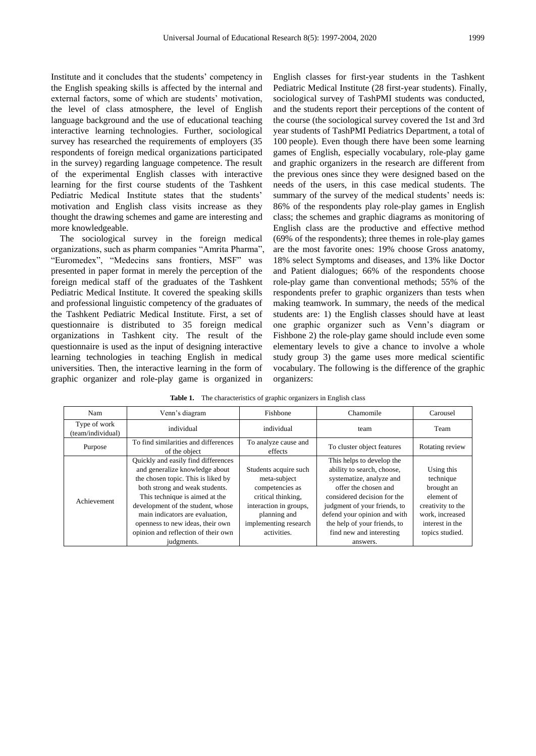Institute and it concludes that the students' competency in the English speaking skills is affected by the internal and external factors, some of which are students' motivation, the level of class atmosphere, the level of English language background and the use of educational teaching interactive learning technologies. Further, sociological survey has researched the requirements of employers (35 respondents of foreign medical organizations participated in the survey) regarding language competence. The result of the experimental English classes with interactive learning for the first course students of the Tashkent Pediatric Medical Institute states that the students' motivation and English class visits increase as they thought the drawing schemes and game are interesting and more knowledgeable.

The sociological survey in the foreign medical organizations, such as pharm companies "Amrita Pharma", "Euromedex", "Medecins sans frontiers, MSF" was presented in paper format in merely the perception of the foreign medical staff of the graduates of the Tashkent Pediatric Medical Institute. It covered the speaking skills and professional linguistic competency of the graduates of the Tashkent Pediatric Medical Institute. First, a set of questionnaire is distributed to 35 foreign medical organizations in Tashkent city. The result of the questionnaire is used as the input of designing interactive learning technologies in teaching English in medical universities. Then, the interactive learning in the form of graphic organizer and role-play game is organized in

English classes for first-year students in the Tashkent Pediatric Medical Institute (28 first-year students). Finally, sociological survey of TashPMI students was conducted, and the students report their perceptions of the content of the course (the sociological survey covered the 1st and 3rd year students of TashPMI Pediatrics Department, a total of 100 people). Even though there have been some learning games of English, especially vocabulary, role-play game and graphic organizers in the research are different from the previous ones since they were designed based on the needs of the users, in this case medical students. The summary of the survey of the medical students' needs is: 86% of the respondents play role-play games in English class; the schemes and graphic diagrams as monitoring of English class are the productive and effective method (69% of the respondents); three themes in role-play games are the most favorite ones: 19% choose Gross anatomy, 18% select Symptoms and diseases, and 13% like Doctor and Patient dialogues; 66% of the respondents choose role-play game than conventional methods; 55% of the respondents prefer to graphic organizers than tests when making teamwork. In summary, the needs of the medical students are: 1) the English classes should have at least one graphic organizer such as Venn's diagram or Fishbone 2) the role-play game should include even some elementary levels to give a chance to involve a whole study group 3) the game uses more medical scientific vocabulary. The following is the difference of the graphic organizers:

| Nam                               | Venn's diagram                                                                                                                                                                                                                                                                                                                                   | Fishbone                                                                                                                                                         | Chamomile                                                                                                                                                                                                                                                                          | Carousel                                                                                                                          |
|-----------------------------------|--------------------------------------------------------------------------------------------------------------------------------------------------------------------------------------------------------------------------------------------------------------------------------------------------------------------------------------------------|------------------------------------------------------------------------------------------------------------------------------------------------------------------|------------------------------------------------------------------------------------------------------------------------------------------------------------------------------------------------------------------------------------------------------------------------------------|-----------------------------------------------------------------------------------------------------------------------------------|
| Type of work<br>(team/individual) | individual                                                                                                                                                                                                                                                                                                                                       | individual                                                                                                                                                       | team                                                                                                                                                                                                                                                                               | Team                                                                                                                              |
| Purpose                           | To find similarities and differences<br>of the object                                                                                                                                                                                                                                                                                            | To analyze cause and<br>effects                                                                                                                                  | To cluster object features                                                                                                                                                                                                                                                         | Rotating review                                                                                                                   |
| Achievement                       | Quickly and easily find differences<br>and generalize knowledge about<br>the chosen topic. This is liked by<br>both strong and weak students.<br>This technique is aimed at the<br>development of the student, whose<br>main indicators are evaluation,<br>openness to new ideas, their own<br>opinion and reflection of their own<br>judgments. | Students acquire such<br>meta-subject<br>competencies as<br>critical thinking,<br>interaction in groups,<br>planning and<br>implementing research<br>activities. | This helps to develop the<br>ability to search, choose,<br>systematize, analyze and<br>offer the chosen and<br>considered decision for the<br>judgment of your friends, to<br>defend your opinion and with<br>the help of your friends, to<br>find new and interesting<br>answers. | Using this<br>technique<br>brought an<br>element of<br>creativity to the<br>work, increased<br>interest in the<br>topics studied. |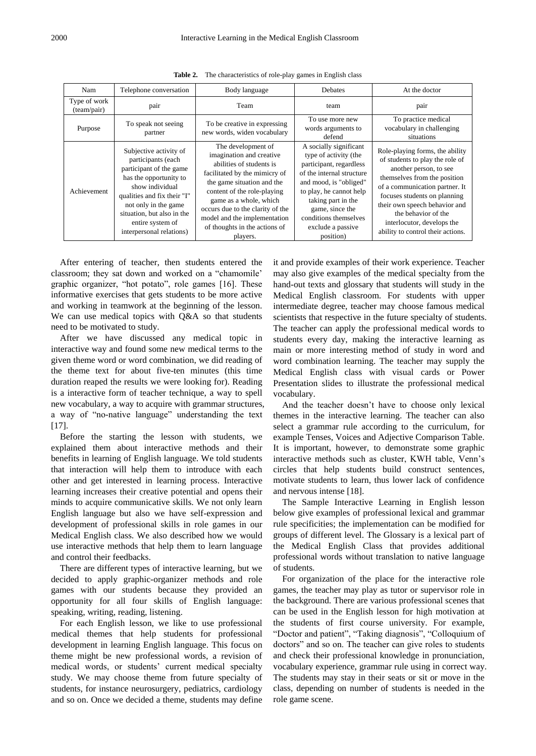| Nam                         | Telephone conversation                                                                                                                                                                                                                                    | Body language                                                                                                                                                                                                                                                                                                       | <b>Debates</b>                                                                                                                                                                                                                                                   | At the doctor                                                                                                                                                                                                                                                                                                             |
|-----------------------------|-----------------------------------------------------------------------------------------------------------------------------------------------------------------------------------------------------------------------------------------------------------|---------------------------------------------------------------------------------------------------------------------------------------------------------------------------------------------------------------------------------------------------------------------------------------------------------------------|------------------------------------------------------------------------------------------------------------------------------------------------------------------------------------------------------------------------------------------------------------------|---------------------------------------------------------------------------------------------------------------------------------------------------------------------------------------------------------------------------------------------------------------------------------------------------------------------------|
| Type of work<br>(team/pair) | pair                                                                                                                                                                                                                                                      | Team                                                                                                                                                                                                                                                                                                                | team                                                                                                                                                                                                                                                             | pair                                                                                                                                                                                                                                                                                                                      |
| Purpose                     | To speak not seeing<br>partner                                                                                                                                                                                                                            | To be creative in expressing<br>new words, widen vocabulary                                                                                                                                                                                                                                                         | To use more new<br>words arguments to<br>defend                                                                                                                                                                                                                  | To practice medical<br>vocabulary in challenging<br>situations                                                                                                                                                                                                                                                            |
| Achievement                 | Subjective activity of<br>participants (each<br>participant of the game<br>has the opportunity to<br>show individual<br>qualities and fix their "I"<br>not only in the game<br>situation, but also in the<br>entire system of<br>interpersonal relations) | The development of<br>imagination and creative<br>abilities of students is<br>facilitated by the mimicry of<br>the game situation and the<br>content of the role-playing<br>game as a whole, which<br>occurs due to the clarity of the<br>model and the implementation<br>of thoughts in the actions of<br>players. | A socially significant<br>type of activity (the<br>participant, regardless<br>of the internal structure<br>and mood, is "obliged"<br>to play, he cannot help<br>taking part in the<br>game, since the<br>conditions themselves<br>exclude a passive<br>position) | Role-playing forms, the ability<br>of students to play the role of<br>another person, to see<br>themselves from the position<br>of a communication partner. It<br>focuses students on planning<br>their own speech behavior and<br>the behavior of the<br>interlocutor, develops the<br>ability to control their actions. |

**Table 2.** The characteristics of role-play games in English class

After entering of teacher, then students entered the classroom; they sat down and worked on a "chamomile" graphic organizer, "hot potato", role games [16]. These informative exercises that gets students to be more active and working in teamwork at the beginning of the lesson. We can use medical topics with Q&A so that students need to be motivated to study.

After we have discussed any medical topic in interactive way and found some new medical terms to the given theme word or word combination, we did reading of the theme text for about five-ten minutes (this time duration reaped the results we were looking for). Reading is a interactive form of teacher technique, a way to spell new vocabulary, a way to acquire with grammar structures, a way of "no-native language" understanding the text [17].

Before the starting the lesson with students, we explained them about interactive methods and their benefits in learning of English language. We told students that interaction will help them to introduce with each other and get interested in learning process. Interactive learning increases their creative potential and opens their minds to acquire communicative skills. We not only learn English language but also we have self-expression and development of professional skills in role games in our Medical English class. We also described how we would use interactive methods that help them to learn language and control their feedbacks.

There are different types of interactive learning, but we decided to apply graphic-organizer methods and role games with our students because they provided an opportunity for all four skills of English language: speaking, writing, reading, listening.

For each English lesson, we like to use professional medical themes that help students for professional development in learning English language. This focus on theme might be new professional words, a revision of medical words, or students' current medical specialty study. We may choose theme from future specialty of students, for instance neurosurgery, pediatrics, cardiology and so on. Once we decided a theme, students may define

it and provide examples of their work experience. Teacher may also give examples of the medical specialty from the hand-out texts and glossary that students will study in the Medical English classroom. For students with upper intermediate degree, teacher may choose famous medical scientists that respective in the future specialty of students. The teacher can apply the professional medical words to students every day, making the interactive learning as main or more interesting method of study in word and word combination learning. The teacher may supply the Medical English class with visual cards or Power Presentation slides to illustrate the professional medical vocabulary.

And the teacher doesn't have to choose only lexical themes in the interactive learning. The teacher can also select a grammar rule according to the curriculum, for example Tenses, Voices and Adjective Comparison Table. It is important, however, to demonstrate some graphic interactive methods such as cluster, KWH table, Venn's circles that help students build construct sentences, motivate students to learn, thus lower lack of confidence and nervous intense [18].

The Sample Interactive Learning in English lesson below give examples of professional lexical and grammar rule specificities; the implementation can be modified for groups of different level. The Glossary is a lexical part of the Medical English Class that provides additional professional words without translation to native language of students.

For organization of the place for the interactive role games, the teacher may play as tutor or supervisor role in the background. There are various professional scenes that can be used in the English lesson for high motivation at the students of first course university. For example, "Doctor and patient", "Taking diagnosis", "Colloquium of doctors" and so on. The teacher can give roles to students and check their professional knowledge in pronunciation, vocabulary experience, grammar rule using in correct way. The students may stay in their seats or sit or move in the class, depending on number of students is needed in the role game scene.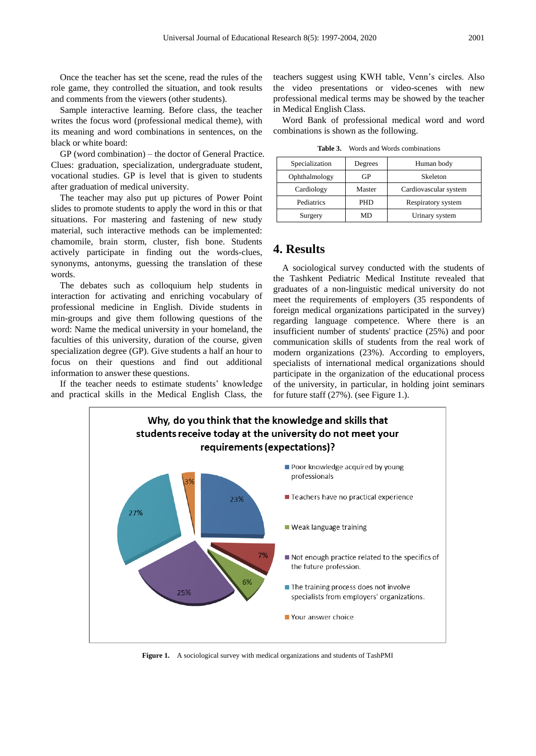Once the teacher has set the scene, read the rules of the role game, they controlled the situation, and took results and comments from the viewers (other students).

Sample interactive learning. Before class, the teacher writes the focus word (professional medical theme), with its meaning and word combinations in sentences, on the black or white board:

GP (word combination) – the doctor of General Practice. Clues: graduation, specialization, undergraduate student, vocational studies. GP is level that is given to students after graduation of medical university.

The teacher may also put up pictures of Power Point slides to promote students to apply the word in this or that situations. For mastering and fastening of new study material, such interactive methods can be implemented: chamomile, brain storm, cluster, fish bone. Students actively participate in finding out the words-clues, synonyms, antonyms, guessing the translation of these words.

The debates such as colloquium help students in interaction for activating and enriching vocabulary of professional medicine in English. Divide students in min-groups and give them following questions of the word: Name the medical university in your homeland, the faculties of this university, duration of the course, given specialization degree (GP). Give students a half an hour to focus on their questions and find out additional information to answer these questions.

If the teacher needs to estimate students' knowledge and practical skills in the Medical English Class, the

teachers suggest using KWH table, Venn's circles. Also the video presentations or video-scenes with new professional medical terms may be showed by the teacher in Medical English Class.

Word Bank of professional medical word and word combinations is shown as the following.

| Words and Words combinations |
|------------------------------|
|                              |

| Specialization | Degrees | Human body            |  |
|----------------|---------|-----------------------|--|
| Ophthalmology  | GР      | Skeleton              |  |
| Cardiology     | Master  | Cardiovascular system |  |
| Pediatrics     | PHD     | Respiratory system    |  |
| Surgery        | MD      | Urinary system        |  |

#### **4. Results**

A sociological survey conducted with the students of the Tashkent Pediatric Medical Institute revealed that graduates of a non-linguistic medical university do not meet the requirements of employers (35 respondents of foreign medical organizations participated in the survey) regarding language competence. Where there is an insufficient number of students' practice (25%) and poor communication skills of students from the real work of modern organizations (23%). According to employers, specialists of international medical organizations should participate in the organization of the educational process of the university, in particular, in holding joint seminars for future staff (27%). (see Figure 1.).



**Figure 1.** A sociological survey with medical organizations and students of TashPMI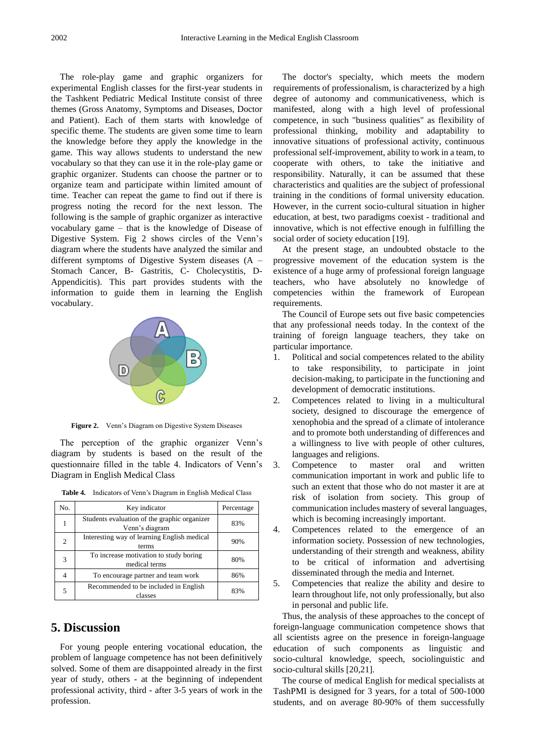The role-play game and graphic organizers for experimental English classes for the first-year students in the Tashkent Pediatric Medical Institute consist of three themes (Gross Anatomy, Symptoms and Diseases, Doctor and Patient). Each of them starts with knowledge of specific theme. The students are given some time to learn the knowledge before they apply the knowledge in the game. This way allows students to understand the new vocabulary so that they can use it in the role-play game or graphic organizer. Students can choose the partner or to organize team and participate within limited amount of time. Teacher can repeat the game to find out if there is progress noting the record for the next lesson. The following is the sample of graphic organizer as interactive vocabulary game – that is the knowledge of Disease of Digestive System. Fig 2 shows circles of the Venn's diagram where the students have analyzed the similar and different symptoms of Digestive System diseases (A – Stomach Cancer, B- Gastritis, C- Cholecystitis, D-Appendicitis). This part provides students with the information to guide them in learning the English vocabulary.



**Figure 2.** Venn's Diagram on Digestive System Diseases

The perception of the graphic organizer Venn's diagram by students is based on the result of the questionnaire filled in the table 4. Indicators of Venn's Diagram in English Medical Class

| No. | Key indicator                                                  | Percentage |
|-----|----------------------------------------------------------------|------------|
|     | Students evaluation of the graphic organizer<br>Venn's diagram | 83%        |
| 2   | Interesting way of learning English medical<br>terms           | 90%        |
| 3   | To increase motivation to study boring<br>medical terms        | 80%        |
|     | To encourage partner and team work                             | 86%        |
| 5   | Recommended to be included in English<br>classes               | 83%        |

**Table 4.** Indicators of Venn's Diagram in English Medical Class

#### **5. Discussion**

For young people entering vocational education, the problem of language competence has not been definitively solved. Some of them are disappointed already in the first year of study, others - at the beginning of independent professional activity, third - after 3-5 years of work in the profession.

The doctor's specialty, which meets the modern requirements of professionalism, is characterized by a high degree of autonomy and communicativeness, which is manifested, along with a high level of professional competence, in such "business qualities" as flexibility of professional thinking, mobility and adaptability to innovative situations of professional activity, continuous professional self-improvement, ability to work in a team, to cooperate with others, to take the initiative and responsibility. Naturally, it can be assumed that these characteristics and qualities are the subject of professional training in the conditions of formal university education. However, in the current socio-cultural situation in higher education, at best, two paradigms coexist - traditional and innovative, which is not effective enough in fulfilling the social order of society education [19].

At the present stage, an undoubted obstacle to the progressive movement of the education system is the existence of a huge army of professional foreign language teachers, who have absolutely no knowledge of competencies within the framework of European requirements.

The Council of Europe sets out five basic competencies that any professional needs today. In the context of the training of foreign language teachers, they take on particular importance.

- 1. Political and social competences related to the ability to take responsibility, to participate in joint decision-making, to participate in the functioning and development of democratic institutions.
- 2. Competences related to living in a multicultural society, designed to discourage the emergence of xenophobia and the spread of a climate of intolerance and to promote both understanding of differences and a willingness to live with people of other cultures, languages and religions.
- 3. Competence to master oral and written communication important in work and public life to such an extent that those who do not master it are at risk of isolation from society. This group of communication includes mastery of several languages, which is becoming increasingly important.
- 4. Competences related to the emergence of an information society. Possession of new technologies, understanding of their strength and weakness, ability to be critical of information and advertising disseminated through the media and Internet.
- 5. Competencies that realize the ability and desire to learn throughout life, not only professionally, but also in personal and public life.

Thus, the analysis of these approaches to the concept of foreign-language communication competence shows that all scientists agree on the presence in foreign-language education of such components as linguistic and socio-cultural knowledge, speech, sociolinguistic and socio-cultural skills [20,21].

The course of medical English for medical specialists at TashPMI is designed for 3 years, for a total of 500-1000 students, and on average 80-90% of them successfully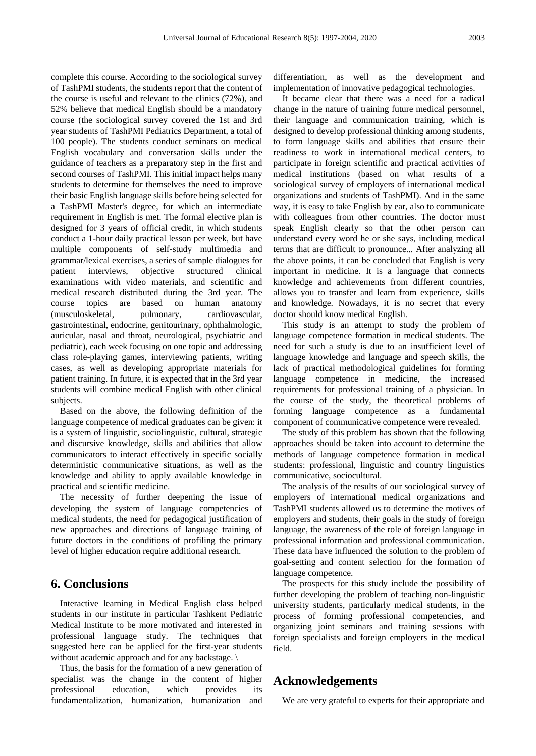complete this course. According to the sociological survey of TashPMI students, the students report that the content of the course is useful and relevant to the clinics (72%), and 52% believe that medical English should be a mandatory course (the sociological survey covered the 1st and 3rd year students of TashPMI Pediatrics Department, a total of 100 people). The students conduct seminars on medical English vocabulary and conversation skills under the guidance of teachers as a preparatory step in the first and second courses of TashPMI. This initial impact helps many students to determine for themselves the need to improve their basic English language skills before being selected for a TashPMI Master's degree, for which an intermediate requirement in English is met. The formal elective plan is designed for 3 years of official credit, in which students conduct a 1-hour daily practical lesson per week, but have multiple components of self-study multimedia and grammar/lexical exercises, a series of sample dialogues for patient interviews, objective structured clinical examinations with video materials, and scientific and medical research distributed during the 3rd year. The course topics are based on human anatomy (musculoskeletal, pulmonary, cardiovascular, gastrointestinal, endocrine, genitourinary, ophthalmologic, auricular, nasal and throat, neurological, psychiatric and pediatric), each week focusing on one topic and addressing class role-playing games, interviewing patients, writing cases, as well as developing appropriate materials for patient training. In future, it is expected that in the 3rd year students will combine medical English with other clinical subjects.

Based on the above, the following definition of the language competence of medical graduates can be given: it is a system of linguistic, sociolinguistic, cultural, strategic and discursive knowledge, skills and abilities that allow communicators to interact effectively in specific socially deterministic communicative situations, as well as the knowledge and ability to apply available knowledge in practical and scientific medicine.

The necessity of further deepening the issue of developing the system of language competencies of medical students, the need for pedagogical justification of new approaches and directions of language training of future doctors in the conditions of profiling the primary level of higher education require additional research.

## **6. Conclusions**

Interactive learning in Medical English class helped students in our institute in particular Tashkent Pediatric Medical Institute to be more motivated and interested in professional language study. The techniques that suggested here can be applied for the first-year students without academic approach and for any backstage. \

Thus, the basis for the formation of a new generation of specialist was the change in the content of higher professional education, which provides its fundamentalization, humanization, humanization and

differentiation, as well as the development and implementation of innovative pedagogical technologies.

It became clear that there was a need for a radical change in the nature of training future medical personnel, their language and communication training, which is designed to develop professional thinking among students, to form language skills and abilities that ensure their readiness to work in international medical centers, to participate in foreign scientific and practical activities of medical institutions (based on what results of a sociological survey of employers of international medical organizations and students of TashPMI). And in the same way, it is easy to take English by ear, also to communicate with colleagues from other countries. The doctor must speak English clearly so that the other person can understand every word he or she says, including medical terms that are difficult to pronounce... After analyzing all the above points, it can be concluded that English is very important in medicine. It is a language that connects knowledge and achievements from different countries, allows you to transfer and learn from experience, skills and knowledge. Nowadays, it is no secret that every doctor should know medical English.

This study is an attempt to study the problem of language competence formation in medical students. The need for such a study is due to an insufficient level of language knowledge and language and speech skills, the lack of practical methodological guidelines for forming language competence in medicine, the increased requirements for professional training of a physician. In the course of the study, the theoretical problems of forming language competence as a fundamental component of communicative competence were revealed.

The study of this problem has shown that the following approaches should be taken into account to determine the methods of language competence formation in medical students: professional, linguistic and country linguistics communicative, sociocultural.

The analysis of the results of our sociological survey of employers of international medical organizations and TashPMI students allowed us to determine the motives of employers and students, their goals in the study of foreign language, the awareness of the role of foreign language in professional information and professional communication. These data have influenced the solution to the problem of goal-setting and content selection for the formation of language competence.

The prospects for this study include the possibility of further developing the problem of teaching non-linguistic university students, particularly medical students, in the process of forming professional competencies, and organizing joint seminars and training sessions with foreign specialists and foreign employers in the medical field.

#### **Acknowledgements**

We are very grateful to experts for their appropriate and